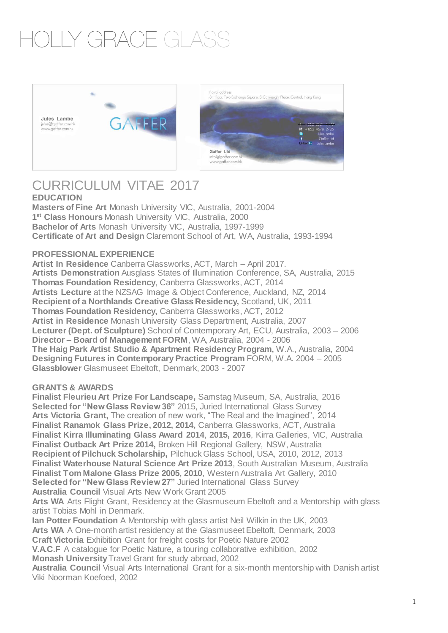## OI IY GRACE GI A





### CURRICULUM VITAE 2017 **EDUCATION**

**Masters of Fine Art** Monash University VIC, Australia, 2001-2004 **1 st Class Honours** Monash University VIC, Australia, 2000 **Bachelor of Arts** Monash University VIC, Australia, 1997-1999 **Certificate of Art and Design** Claremont School of Art, WA, Australia, 1993-1994

#### **PROFESSIONAL EXPERIENCE**

**Artist In Residence** Canberra Glassworks, ACT, March – April 2017. **Artists Demonstration** Ausglass States of Illumination Conference, SA, Australia, 2015 **Thomas Foundation Residency**, Canberra Glassworks, ACT, 2014 **Artists Lecture** at the NZSAG Image & Object Conference, Auckland, NZ, 2014 **Recipient of a Northlands Creative Glass Residency,** Scotland, UK, 2011 **Thomas Foundation Residency,** Canberra Glassworks, ACT, 2012 **Artist in Residence** Monash University Glass Department, Australia, 2007 **Lecturer (Dept. of Sculpture)** School of Contemporary Art, ECU, Australia, 2003 – 2006 **Director – Board of Management FORM**, WA, Australia, 2004 - 2006 **The Haig Park Artist Studio & Apartment Residency Program,** W.A., Australia, 2004 **Designing Futures in Contemporary Practice Program** FORM, W.A. 2004 – 2005 **Glassblower** Glasmuseet Ebeltoft, Denmark, 2003 - 2007

#### **GRANTS & AWARDS**

**Finalist Fleurieu Art Prize For Landscape,** Samstag Museum, SA, Australia, 2016 **Selected for "New Glass Review 36"** 2015, Juried International Glass Survey **Arts Victoria Grant,** The creation of new work, "The Real and the Imagined", 2014 **Finalist Ranamok Glass Prize, 2012, 2014,** Canberra Glassworks, ACT, Australia **Finalist Kirra Illuminating Glass Award 2014**, **2015, 2016**, Kirra Galleries, VIC, Australia **Finalist Outback Art Prize 2014,** Broken Hill Regional Gallery, NSW, Australia **Recipient of Pilchuck Scholarship,** Pilchuck Glass School, USA, 2010, 2012, 2013 **Finalist Waterhouse Natural Science Art Prize 2013**, South Australian Museum, Australia **Finalist Tom Malone Glass Prize 2005, 2010**, Western Australia Art Gallery, 2010 **Selected for "New Glass Review 27"** Juried International Glass Survey **Australia Council** Visual Arts New Work Grant 2005 Arts WA Arts Flight Grant, Residency at the Glasmuseum Ebeltoft and a Mentorship with glass

artist Tobias Mohl in Denmark.

**Ian Potter Foundation** A Mentorship with glass artist Neil Wilkin in the UK, 2003 **Arts WA** A One-month artist residency at the Glasmuseet Ebeltoft, Denmark, 2003 **Craft Victoria** Exhibition Grant for freight costs for Poetic Nature 2002

**V.A.C.F** A catalogue for Poetic Nature, a touring collaborative exhibition, 2002 **Monash University** Travel Grant for study abroad, 2002

**Australia Council** Visual Arts International Grant for a six-month mentorship with Danish artist Viki Noorman Koefoed, 2002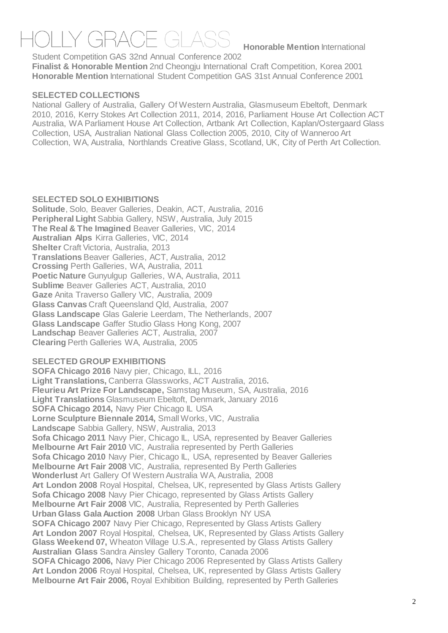**Honorable Mention International** 

Student Competition GAS 32nd Annual Conference 2002 **Finalist & Honorable Mention** 2nd Cheongju International Craft Competition, Korea 2001 **Honorable Mention** International Student Competition GAS 31st Annual Conference 2001

#### **SELECTED COLLECTIONS**

National Gallery of Australia, Gallery Of Western Australia, Glasmuseum Ebeltoft, Denmark 2010, 2016, Kerry Stokes Art Collection 2011, 2014, 2016, Parliament House Art Collection ACT Australia, WA Parliament House Art Collection, Artbank Art Collection, Kaplan/Ostergaard Glass Collection, USA, Australian National Glass Collection 2005, 2010, City of Wanneroo Art Collection, WA, Australia, Northlands Creative Glass, Scotland, UK, City of Perth Art Collection.

#### **SELECTED SOLO EXHIBITIONS**

**Solitude**, Solo, Beaver Galleries, Deakin, ACT, Australia, 2016 **Peripheral Light** Sabbia Gallery, NSW, Australia, July 2015 **The Real & The Imagined** Beaver Galleries, VIC, 2014 **Australian Alps** Kirra Galleries, VIC, 2014 **Shelter** Craft Victoria, Australia, 2013 **Translations** Beaver Galleries, ACT, Australia, 2012 **Crossing** Perth Galleries, WA, Australia, 2011 **Poetic Nature** Gunyulgup Galleries, WA, Australia, 2011 **Sublime** Beaver Galleries ACT, Australia, 2010 **Gaze** Anita Traverso Gallery VIC, Australia, 2009 **Glass Canvas** Craft Queensland Qld, Australia, 2007 **Glass Landscape** Glas Galerie Leerdam, The Netherlands, 2007 **Glass Landscape** Gaffer Studio Glass Hong Kong, 2007 **Landschap** Beaver Galleries ACT, Australia, 2007 **Clearing** Perth Galleries WA, Australia, 2005

#### **SELECTED GROUP EXHIBITIONS**

**SOFA Chicago 2016** Navy pier, Chicago, ILL, 2016 **Light Translations,** Canberra Glassworks, ACT Australia, 2016**. Fleurieu Art Prize For Landscape,** Samstag Museum, SA, Australia, 2016 **Light Translations** Glasmuseum Ebeltoft, Denmark, January 2016 **SOFA Chicago 2014,** Navy Pier Chicago IL USA **Lorne Sculpture Biennale 2014,** Small Works, VIC, Australia **Landscape** Sabbia Gallery, NSW, Australia, 2013 **Sofa Chicago 2011** Navy Pier, Chicago IL, USA, represented by Beaver Galleries **Melbourne Art Fair 2010** VIC, Australia represented by Perth Galleries **Sofa Chicago 2010** Navy Pier, Chicago IL, USA, represented by Beaver Galleries **Melbourne Art Fair 2008** VIC, Australia, represented By Perth Galleries **Wonderlust** Art Gallery Of Western Australia WA, Australia, 2008 **Art London 2008** Royal Hospital, Chelsea, UK, represented by Glass Artists Gallery **Sofa Chicago 2008** Navy Pier Chicago, represented by Glass Artists Gallery **Melbourne Art Fair 2008** VIC, Australia, Represented by Perth Galleries **Urban Glass Gala Auction 2008** Urban Glass Brooklyn NY USA **SOFA Chicago 2007** Navy Pier Chicago, Represented by Glass Artists Gallery **Art London 2007** Royal Hospital, Chelsea, UK, Represented by Glass Artists Gallery **Glass Weekend 07,** Wheaton Village U.S.A., represented by Glass Artists Gallery **Australian Glass** Sandra Ainsley Gallery Toronto, Canada 2006 **SOFA Chicago 2006,** Navy Pier Chicago 2006 Represented by Glass Artists Gallery **Art London 2006** Royal Hospital, Chelsea, UK, represented by Glass Artists Gallery **Melbourne Art Fair 2006,** Royal Exhibition Building, represented by Perth Galleries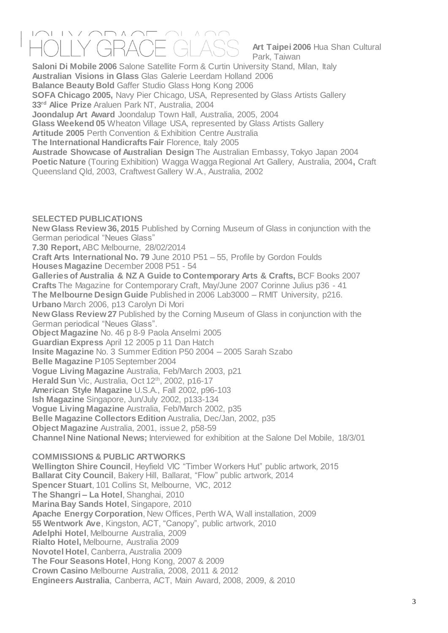# $\wedge$

**Art Taipei 2006** Hua Shan Cultural Park, Taiwan

**Saloni Di Mobile 2006** Salone Satellite Form & Curtin University Stand, Milan, Italy **Australian Visions in Glass** Glas Galerie Leerdam Holland 2006 **Balance Beauty Bold** Gaffer Studio Glass Hong Kong 2006 **SOFA Chicago 2005,** Navy Pier Chicago, USA, Represented by Glass Artists Gallery **33rd Alice Prize** Araluen Park NT, Australia, 2004 **Joondalup Art Award** Joondalup Town Hall, Australia, 2005, 2004 **Glass Weekend 05** Wheaton Village USA, represented by Glass Artists Gallery **Artitude 2005** Perth Convention & Exhibition Centre Australia **The International Handicrafts Fair** Florence, Italy 2005 **Austrade Showcase of Australian Design** The Australian Embassy, Tokyo Japan 2004 **Poetic Nature** (Touring Exhibition) Wagga Wagga Regional Art Gallery, Australia, 2004**,** Craft Queensland Qld, 2003, Craftwest Gallery W.A., Australia, 2002

#### **SELECTED PUBLICATIONS**

**New Glass Review 36, 2015** Published by Corning Museum of Glass in conjunction with the German periodical "Neues Glass" **7.30 Report,** ABC Melbourne, 28/02/2014 **Craft Arts International No. 79** June 2010 P51 – 55, Profile by Gordon Foulds

**Houses Magazine** December 2008 P51 - 54

**Galleries of Australia & NZ A Guide to Contemporary Arts & Crafts,** BCF Books 2007 **Crafts** The Magazine for Contemporary Craft, May/June 2007 Corinne Julius p36 - 41 **The Melbourne Design Guide** Published in 2006 Lab3000 – RMIT University, p216. **Urbano** March 2006, p13 Carolyn Di Mori **New Glass Review 27** Published by the Corning Museum of Glass in conjunction with the German periodical "Neues Glass".

**Object Magazine** No. 46 p 8-9 Paola Anselmi 2005

**Guardian Express** April 12 2005 p 11 Dan Hatch

**Insite Magazine** No. 3 Summer Edition P50 2004 – 2005 Sarah Szabo

**Belle Magazine** P105 September 2004

**Vogue Living Magazine** Australia, Feb/March 2003, p21

Herald Sun Vic, Australia, Oct 12<sup>th</sup>, 2002, p16-17

**American Style Magazine** U.S.A., Fall 2002, p96-103

**Ish Magazine** Singapore, Jun/July 2002, p133-134

**Vogue Living Magazine** Australia, Feb/March 2002, p35

**Belle Magazine Collectors Edition** Australia, Dec/Jan, 2002, p35

**Object Magazine** Australia, 2001, issue 2, p58-59

**Channel Nine National News;** Interviewed for exhibition at the Salone Del Mobile, 18/3/01

#### **COMMISSIONS & PUBLIC ARTWORKS**

**Wellington Shire Council**, Heyfield VIC "Timber Workers Hut" public artwork, 2015 **Ballarat City Council**, Bakery Hill, Ballarat, "Flow" public artwork, 2014 **Spencer Stuart**, 101 Collins St, Melbourne, VIC, 2012 **The Shangri – La Hotel**, Shanghai, 2010 **Marina Bay Sands Hotel**, Singapore, 2010 **Apache Energy Corporation**, New Offices, Perth WA, Wall installation, 2009 **55 Wentwork Ave**, Kingston, ACT, "Canopy", public artwork, 2010 **Adelphi Hotel**, Melbourne Australia, 2009 **Rialto Hotel,** Melbourne, Australia 2009 **Novotel Hotel**, Canberra, Australia 2009 **The Four Seasons Hotel**, Hong Kong, 2007 & 2009 **Crown Casino** Melbourne Australia, 2008, 2011 & 2012 **Engineers Australia**, Canberra, ACT, Main Award, 2008, 2009, & 2010